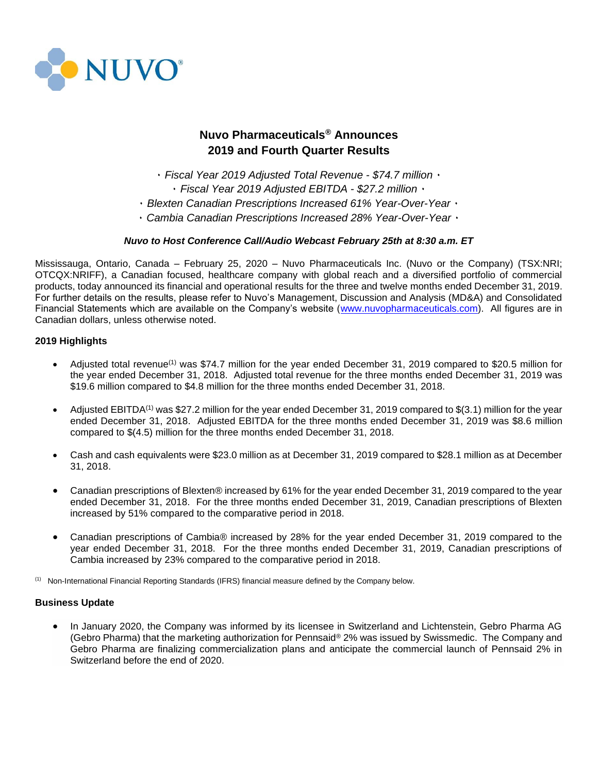

# **Nuvo Pharmaceuticals® Announces 2019 and Fourth Quarter Results**

- ٠ *Fiscal Year 2019 Adjusted Total Revenue - \$74.7 million* ٠ ٠ *Fiscal Year 2019 Adjusted EBITDA - \$27.2 million* ٠
- ٠ *Blexten Canadian Prescriptions Increased 61% Year-Over-Year* ٠
- ٠ *Cambia Canadian Prescriptions Increased 28% Year-Over-Year* ٠

## *Nuvo to Host Conference Call/Audio Webcast February 25th at 8:30 a.m. ET*

Mississauga, Ontario, Canada – February 25, 2020 – Nuvo Pharmaceuticals Inc. (Nuvo or the Company) (TSX:NRI; OTCQX:NRIFF), a Canadian focused, healthcare company with global reach and a diversified portfolio of commercial products, today announced its financial and operational results for the three and twelve months ended December 31, 2019. For further details on the results, please refer to Nuvo's Management, Discussion and Analysis (MD&A) and Consolidated Financial Statements which are available on the Company's website [\(www.nuvopharmaceuticals.com\)](http://www.nuvopharmaceuticals.com/). All figures are in Canadian dollars, unless otherwise noted.

## **2019 Highlights**

- Adjusted total revenue<sup>(1)</sup> was \$74.7 million for the year ended December 31, 2019 compared to \$20.5 million for the year ended December 31, 2018. Adjusted total revenue for the three months ended December 31, 2019 was \$19.6 million compared to \$4.8 million for the three months ended December 31, 2018.
- Adjusted EBITDA<sup>(1)</sup> was \$27.2 million for the year ended December 31, 2019 compared to \$(3.1) million for the year ended December 31, 2018. Adjusted EBITDA for the three months ended December 31, 2019 was \$8.6 million compared to \$(4.5) million for the three months ended December 31, 2018.
- Cash and cash equivalents were \$23.0 million as at December 31, 2019 compared to \$28.1 million as at December 31, 2018.
- Canadian prescriptions of Blexten® increased by 61% for the year ended December 31, 2019 compared to the year ended December 31, 2018. For the three months ended December 31, 2019, Canadian prescriptions of Blexten increased by 51% compared to the comparative period in 2018.
- Canadian prescriptions of Cambia® increased by 28% for the year ended December 31, 2019 compared to the year ended December 31, 2018. For the three months ended December 31, 2019, Canadian prescriptions of Cambia increased by 23% compared to the comparative period in 2018.

<sup>(1)</sup> Non-International Financial Reporting Standards (IFRS) financial measure defined by the Company below.

## **Business Update**

• In January 2020, the Company was informed by its licensee in Switzerland and Lichtenstein, Gebro Pharma AG (Gebro Pharma) that the marketing authorization for Pennsaid® 2% was issued by Swissmedic. The Company and Gebro Pharma are finalizing commercialization plans and anticipate the commercial launch of Pennsaid 2% in Switzerland before the end of 2020.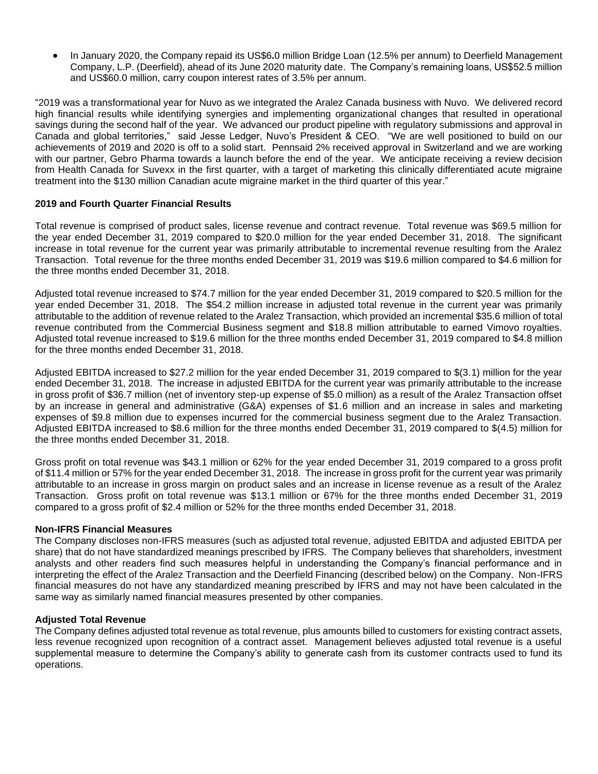• In January 2020, the Company repaid its US\$6**.**0 million Bridge Loan (12.5% per annum) to Deerfield Management Company, L.P. (Deerfield), ahead of its June 2020 maturity date. The Company's remaining loans, US\$52.5 million and US\$60.0 million, carry coupon interest rates of 3.5% per annum.

"2019 was a transformational year for Nuvo as we integrated the Aralez Canada business with Nuvo. We delivered record high financial results while identifying synergies and implementing organizational changes that resulted in operational savings during the second half of the year. We advanced our product pipeline with regulatory submissions and approval in Canada and global territories," said Jesse Ledger, Nuvo's President & CEO. "We are well positioned to build on our achievements of 2019 and 2020 is off to a solid start. Pennsaid 2% received approval in Switzerland and we are working with our partner, Gebro Pharma towards a launch before the end of the year. We anticipate receiving a review decision from Health Canada for Suvexx in the first quarter, with a target of marketing this clinically differentiated acute migraine treatment into the \$130 million Canadian acute migraine market in the third quarter of this year."

## **2019 and Fourth Quarter Financial Results**

Total revenue is comprised of product sales, license revenue and contract revenue. Total revenue was \$69.5 million for the year ended December 31, 2019 compared to \$20.0 million for the year ended December 31, 2018. The significant increase in total revenue for the current year was primarily attributable to incremental revenue resulting from the Aralez Transaction. Total revenue for the three months ended December 31, 2019 was \$19.6 million compared to \$4.6 million for the three months ended December 31, 2018.

Adjusted total revenue increased to \$74.7 million for the year ended December 31, 2019 compared to \$20.5 million for the year ended December 31, 2018. The \$54.2 million increase in adjusted total revenue in the current year was primarily attributable to the addition of revenue related to the Aralez Transaction, which provided an incremental \$35.6 million of total revenue contributed from the Commercial Business segment and \$18.8 million attributable to earned Vimovo royalties. Adjusted total revenue increased to \$19.6 million for the three months ended December 31, 2019 compared to \$4.8 million for the three months ended December 31, 2018.

Adjusted EBITDA increased to \$27.2 million for the year ended December 31, 2019 compared to \$(3.1) million for the year ended December 31, 2018. The increase in adjusted EBITDA for the current year was primarily attributable to the increase in gross profit of \$36.7 million (net of inventory step-up expense of \$5.0 million) as a result of the Aralez Transaction offset by an increase in general and administrative (G&A) expenses of \$1.6 million and an increase in sales and marketing expenses of \$9.8 million due to expenses incurred for the commercial business segment due to the Aralez Transaction. Adjusted EBITDA increased to \$8.6 million for the three months ended December 31, 2019 compared to \$(4.5) million for the three months ended December 31, 2018.

Gross profit on total revenue was \$43.1 million or 62% for the year ended December 31, 2019 compared to a gross profit of \$11.4 million or 57% for the year ended December 31, 2018. The increase in gross profit for the current year was primarily attributable to an increase in gross margin on product sales and an increase in license revenue as a result of the Aralez Transaction. Gross profit on total revenue was \$13.1 million or 67% for the three months ended December 31, 2019 compared to a gross profit of \$2.4 million or 52% for the three months ended December 31, 2018.

## **Non-IFRS Financial Measures**

The Company discloses non-IFRS measures (such as adjusted total revenue, adjusted EBITDA and adjusted EBITDA per share) that do not have standardized meanings prescribed by IFRS. The Company believes that shareholders, investment analysts and other readers find such measures helpful in understanding the Company's financial performance and in interpreting the effect of the Aralez Transaction and the Deerfield Financing (described below) on the Company. Non-IFRS financial measures do not have any standardized meaning prescribed by IFRS and may not have been calculated in the same way as similarly named financial measures presented by other companies.

## **Adjusted Total Revenue**

The Company defines adjusted total revenue as total revenue, plus amounts billed to customers for existing contract assets, less revenue recognized upon recognition of a contract asset. Management believes adjusted total revenue is a useful supplemental measure to determine the Company's ability to generate cash from its customer contracts used to fund its operations.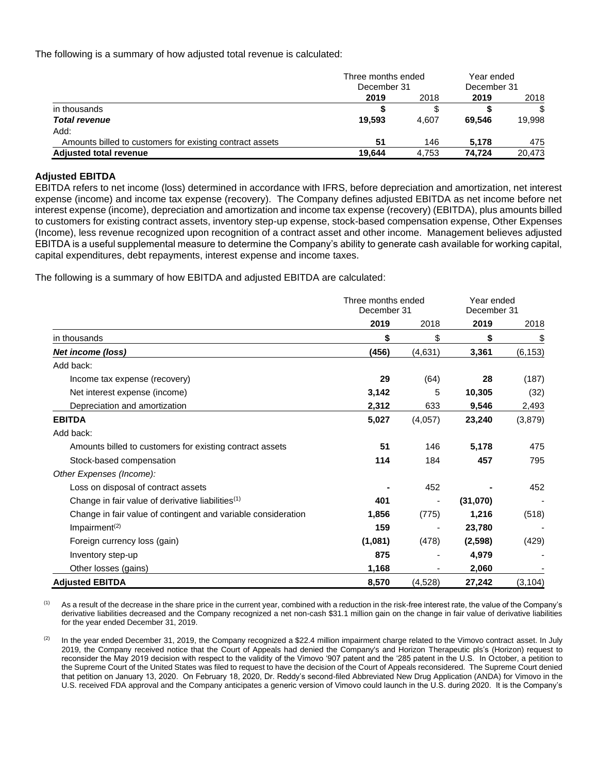The following is a summary of how adjusted total revenue is calculated:

|                                                          | Three months ended<br>December 31 |       | Year ended<br>December 31 |        |
|----------------------------------------------------------|-----------------------------------|-------|---------------------------|--------|
|                                                          | 2019                              | 2018  | 2019                      | 2018   |
| in thousands                                             |                                   | S     |                           | \$     |
| <b>Total revenue</b>                                     | 19.593                            | 4.607 | 69.546                    | 19,998 |
| Add:                                                     |                                   |       |                           |        |
| Amounts billed to customers for existing contract assets | 51                                | 146   | 5.178                     | 475    |
| <b>Adjusted total revenue</b>                            | 19.644                            | 4.753 | 74.724                    | 20.473 |

# **Adjusted EBITDA**

EBITDA refers to net income (loss) determined in accordance with IFRS, before depreciation and amortization, net interest expense (income) and income tax expense (recovery). The Company defines adjusted EBITDA as net income before net interest expense (income), depreciation and amortization and income tax expense (recovery) (EBITDA), plus amounts billed to customers for existing contract assets, inventory step-up expense, stock-based compensation expense, Other Expenses (Income), less revenue recognized upon recognition of a contract asset and other income. Management believes adjusted EBITDA is a useful supplemental measure to determine the Company's ability to generate cash available for working capital, capital expenditures, debt repayments, interest expense and income taxes.

The following is a summary of how EBITDA and adjusted EBITDA are calculated:

|                                                               | Three months ended<br>December 31 |         | Year ended<br>December 31 |          |
|---------------------------------------------------------------|-----------------------------------|---------|---------------------------|----------|
|                                                               | 2019                              | 2018    | 2019                      | 2018     |
| in thousands                                                  | \$                                | \$      | \$                        | \$       |
| Net income (loss)                                             | (456)                             | (4,631) | 3,361                     | (6, 153) |
| Add back:                                                     |                                   |         |                           |          |
| Income tax expense (recovery)                                 | 29                                | (64)    | 28                        | (187)    |
| Net interest expense (income)                                 | 3,142                             | 5       | 10,305                    | (32)     |
| Depreciation and amortization                                 | 2,312                             | 633     | 9,546                     | 2,493    |
| <b>EBITDA</b>                                                 | 5,027                             | (4,057) | 23,240                    | (3, 879) |
| Add back:                                                     |                                   |         |                           |          |
| Amounts billed to customers for existing contract assets      | 51                                | 146     | 5,178                     | 475      |
| Stock-based compensation                                      | 114                               | 184     | 457                       | 795      |
| Other Expenses (Income):                                      |                                   |         |                           |          |
| Loss on disposal of contract assets                           |                                   | 452     |                           | 452      |
| Change in fair value of derivative liabilities <sup>(1)</sup> | 401                               |         | (31,070)                  |          |
| Change in fair value of contingent and variable consideration | 1,856                             | (775)   | 1,216                     | (518)    |
| Impairment <sup>(2)</sup>                                     | 159                               |         | 23,780                    |          |
| Foreign currency loss (gain)                                  | (1,081)                           | (478)   | (2,598)                   | (429)    |
| Inventory step-up                                             | 875                               |         | 4,979                     |          |
| Other losses (gains)                                          | 1,168                             |         | 2,060                     |          |
| <b>Adjusted EBITDA</b>                                        | 8,570                             | (4,528) | 27,242                    | (3, 104) |

As a result of the decrease in the share price in the current year, combined with a reduction in the risk-free interest rate, the value of the Company's derivative liabilities decreased and the Company recognized a net non-cash \$31.1 million gain on the change in fair value of derivative liabilities for the year ended December 31, 2019.

In the year ended December 31, 2019, the Company recognized a \$22.4 million impairment charge related to the Vimovo contract asset. In July 2019, the Company received notice that the Court of Appeals had denied the Company's and Horizon Therapeutic pls's (Horizon) request to reconsider the May 2019 decision with respect to the validity of the Vimovo '907 patent and the '285 patent in the U.S. In October, a petition to the Supreme Court of the United States was filed to request to have the decision of the Court of Appeals reconsidered. The Supreme Court denied that petition on January 13, 2020. On February 18, 2020, Dr. Reddy's second-filed Abbreviated New Drug Application (ANDA) for Vimovo in the U.S. received FDA approval and the Company anticipates a generic version of Vimovo could launch in the U.S. during 2020. It is the Company's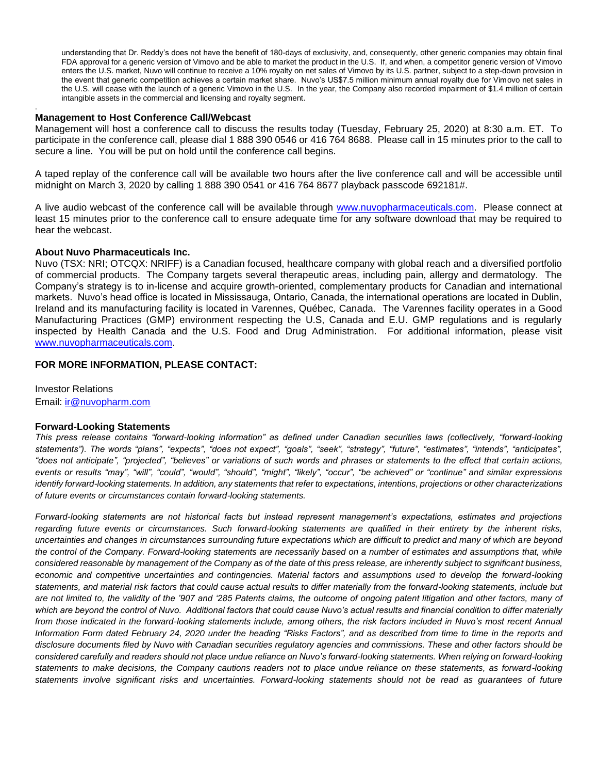understanding that Dr. Reddy's does not have the benefit of 180-days of exclusivity, and, consequently, other generic companies may obtain final FDA approval for a generic version of Vimovo and be able to market the product in the U.S. If, and when, a competitor generic version of Vimovo enters the U.S. market, Nuvo will continue to receive a 10% royalty on net sales of Vimovo by its U.S. partner, subject to a step-down provision in the event that generic competition achieves a certain market share. Nuvo's US\$7.5 million minimum annual royalty due for Vimovo net sales in the U.S. will cease with the launch of a generic Vimovo in the U.S. In the year, the Company also recorded impairment of \$1.4 million of certain intangible assets in the commercial and licensing and royalty segment.

#### **Management to Host Conference Call/Webcast**

Management will host a conference call to discuss the results today (Tuesday, February 25, 2020) at 8:30 a.m. ET. To participate in the conference call, please dial 1 888 390 0546 or 416 764 8688. Please call in 15 minutes prior to the call to secure a line. You will be put on hold until the conference call begins.

A taped replay of the conference call will be available two hours after the live conference call and will be accessible until midnight on March 3, 2020 by calling 1 888 390 0541 or 416 764 8677 playback passcode 692181#.

A live audio webcast of the conference call will be available through [www.nuvopharmaceuticals.com.](http://www.nuvopharmaceuticals.com/) Please connect at least 15 minutes prior to the conference call to ensure adequate time for any software download that may be required to hear the webcast.

#### **About Nuvo Pharmaceuticals Inc.**

.

Nuvo (TSX: NRI; OTCQX: NRIFF) is a Canadian focused, healthcare company with global reach and a diversified portfolio of commercial products. The Company targets several therapeutic areas, including pain, allergy and dermatology. The Company's strategy is to in-license and acquire growth-oriented, complementary products for Canadian and international markets. Nuvo's head office is located in Mississauga, Ontario, Canada, the international operations are located in Dublin, Ireland and its manufacturing facility is located in Varennes, Québec, Canada. The Varennes facility operates in a Good Manufacturing Practices (GMP) environment respecting the U.S, Canada and E.U. GMP regulations and is regularly inspected by Health Canada and the U.S. Food and Drug Administration. For additional information, please visit [www.nuvopharmaceuticals.com.](http://www.nuvopharmaceuticals.com/)

## **FOR MORE INFORMATION, PLEASE CONTACT:**

Investor Relations Email: [ir@nuvopharm.com](mailto:ir@nuvopharm.com)

## **Forward-Looking Statements**

*This press release contains "forward-looking information" as defined under Canadian securities laws (collectively, "forward-looking statements"). The words "plans", "expects", "does not expect", "goals", "seek", "strategy", "future", "estimates", "intends", "anticipates", "does not anticipate", "projected", "believes" or variations of such words and phrases or statements to the effect that certain actions, events or results "may", "will", "could", "would", "should", "might", "likely", "occur", "be achieved" or "continue" and similar expressions identify forward-looking statements. In addition, any statements that refer to expectations, intentions, projections or other characterizations of future events or circumstances contain forward-looking statements.* 

*Forward-looking statements are not historical facts but instead represent management's expectations, estimates and projections regarding future events or circumstances. Such forward-looking statements are qualified in their entirety by the inherent risks, uncertainties and changes in circumstances surrounding future expectations which are difficult to predict and many of which are beyond the control of the Company. Forward-looking statements are necessarily based on a number of estimates and assumptions that, while considered reasonable by management of the Company as of the date of this press release, are inherently subject to significant business, economic and competitive uncertainties and contingencies. Material factors and assumptions used to develop the forward-looking statements, and material risk factors that could cause actual results to differ materially from the forward-looking statements, include but*  are not limited to, the validity of the '907 and '285 Patents claims, the outcome of ongoing patent litigation and other factors, many of *which are beyond the control of Nuvo. Additional factors that could cause Nuvo's actual results and financial condition to differ materially from those indicated in the forward-looking statements include, among others, the risk factors included in Nuvo's most recent Annual Information Form dated February 24, 2020 under the heading "Risks Factors", and as described from time to time in the reports and disclosure documents filed by Nuvo with Canadian securities regulatory agencies and commissions. These and other factors should be considered carefully and readers should not place undue reliance on Nuvo's forward-looking statements. When relying on forward-looking statements to make decisions, the Company cautions readers not to place undue reliance on these statements, as forward-looking statements involve significant risks and uncertainties. Forward-looking statements should not be read as guarantees of future*